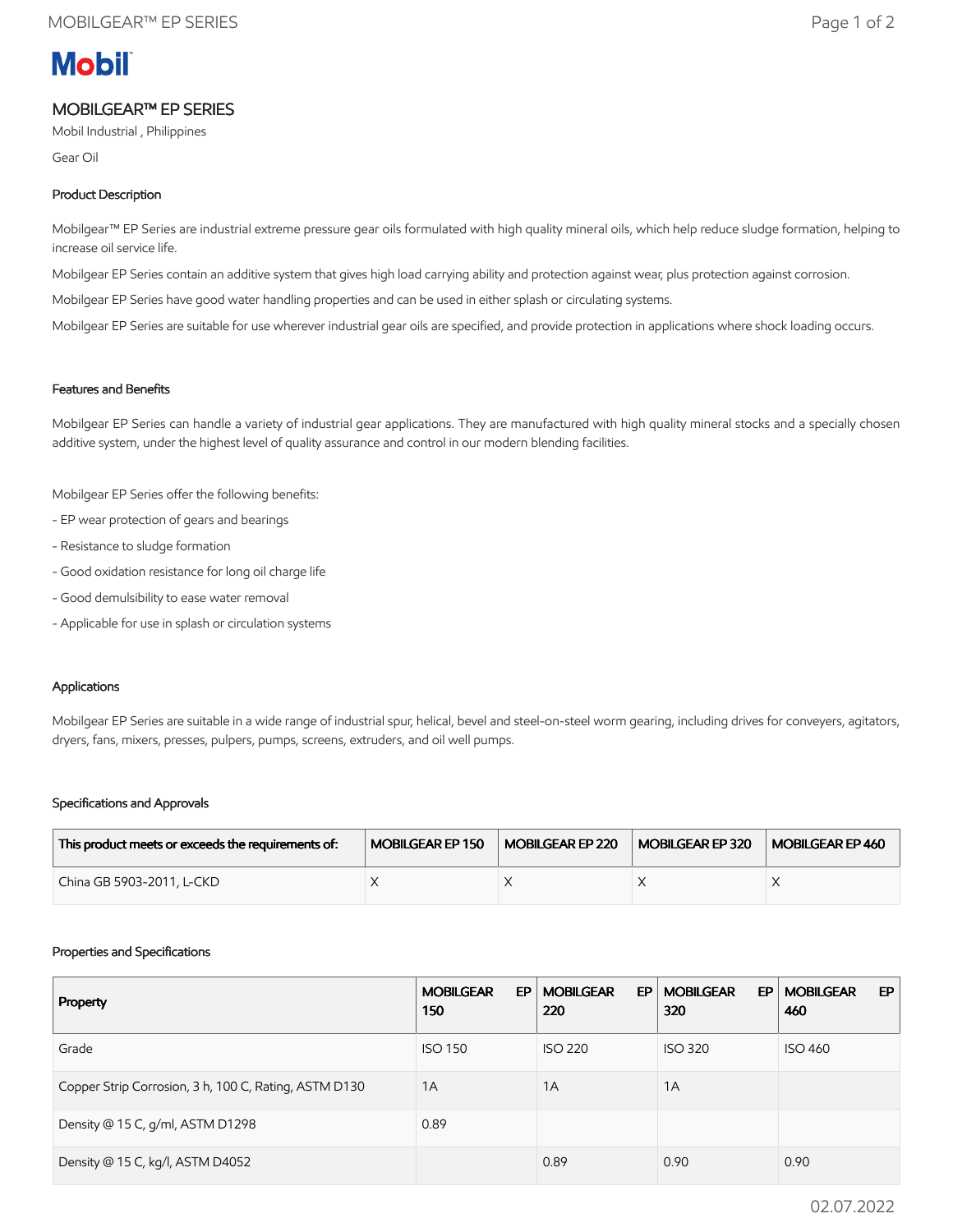# **Mobil**

## MOBILGEAR™ EP SERIES

Mobil Industrial , Philippines

Gear Oil

### Product Description

Mobilgear™ EP Series are industrial extreme pressure gear oils formulated with high quality mineral oils, which help reduce sludge formation, helping to increase oil service life.

Mobilgear EP Series contain an additive system that gives high load carrying ability and protection against wear, plus protection against corrosion.

Mobilgear EP Series have good water handling properties and can be used in either splash or circulating systems.

Mobilgear EP Series are suitable for use wherever industrial gear oils are specified, and provide protection in applications where shock loading occurs.

#### Features and Benefits

Mobilgear EP Series can handle a variety of industrial gear applications. They are manufactured with high quality mineral stocks and a specially chosen additive system, under the highest level of quality assurance and control in our modern blending facilities.

Mobilgear EP Series offer the following benefits:

- EP wear protection of gears and bearings
- Resistance to sludge formation
- Good oxidation resistance for long oil charge life
- Good demulsibility to ease water removal
- Applicable for use in splash or circulation systems

#### Applications

Mobilgear EP Series are suitable in a wide range of industrial spur, helical, bevel and steel-on-steel worm gearing, including drives for conveyers, agitators, dryers, fans, mixers, presses, pulpers, pumps, screens, extruders, and oil well pumps.

#### Specifications and Approvals

| This product meets or exceeds the requirements of: | MOBILGEAR EP 150 | MOBILGEAR EP 220 | MOBILGEAR EP 320 | MOBILGEAR EP 460 |
|----------------------------------------------------|------------------|------------------|------------------|------------------|
| China GB 5903-2011, L-CKD                          |                  |                  |                  |                  |

#### Properties and Specifications

| Property                                              | <b>MOBILGEAR</b><br>EP<br>150 | <b>MOBILGEAR</b><br>EP<br>220 | <b>MOBILGEAR</b><br>EP.<br>320 | <b>MOBILGEAR</b><br>EP.<br>460 |
|-------------------------------------------------------|-------------------------------|-------------------------------|--------------------------------|--------------------------------|
| Grade                                                 | <b>ISO 150</b>                | <b>ISO 220</b>                | <b>ISO 320</b>                 | <b>ISO 460</b>                 |
| Copper Strip Corrosion, 3 h, 100 C, Rating, ASTM D130 | 1A                            | 1A                            | 1A                             |                                |
| Density @ 15 C, g/ml, ASTM D1298                      | 0.89                          |                               |                                |                                |
| Density @ 15 C, kg/l, ASTM D4052                      |                               | 0.89                          | 0.90                           | 0.90                           |